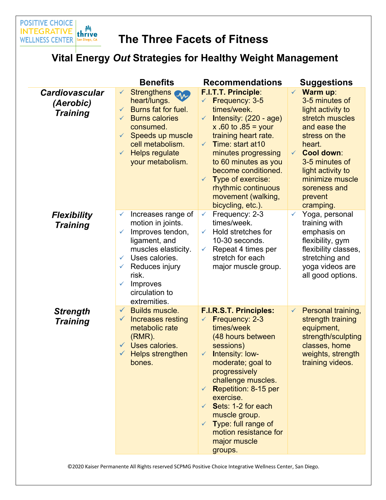

# **The Three Facets of Fitness**

## **Vital Energy** *Out* **Strategies for Healthy Weight Management**

|                                                       | <b>Benefits</b>                                                                                                                                                                                                                                                                       | <b>Recommendations</b>                                                                                                                                                                                                                                                                                                                                                 | <b>Suggestions</b>                                                                                                                                                                                                                                                          |
|-------------------------------------------------------|---------------------------------------------------------------------------------------------------------------------------------------------------------------------------------------------------------------------------------------------------------------------------------------|------------------------------------------------------------------------------------------------------------------------------------------------------------------------------------------------------------------------------------------------------------------------------------------------------------------------------------------------------------------------|-----------------------------------------------------------------------------------------------------------------------------------------------------------------------------------------------------------------------------------------------------------------------------|
| <b>Cardiovascular</b><br>(Aerobic)<br><b>Training</b> | <b>Strengthens</b><br>$\checkmark$<br>$\mathcal{M}$<br>heart/lungs.<br>Burns fat for fuel.<br>$\checkmark$<br><b>Burns calories</b><br>$\checkmark$<br>consumed.<br>Speeds up muscle<br>$\checkmark$<br>cell metabolism.<br><b>Helps regulate</b><br>$\checkmark$<br>your metabolism. | <b>F.I.T.T. Principle:</b><br>Frequency: 3-5<br>$\checkmark$<br>times/week.<br>Intensity: (220 - age)<br>$\checkmark$<br>x .60 to .85 = your<br>training heart rate.<br>Time: start at 10<br>$\checkmark$<br>minutes progressing<br>to 60 minutes as you<br>become conditioned.<br>Type of exercise:<br>rhythmic continuous<br>movement (walking,<br>bicycling, etc.). | <b>Warm up:</b><br>$\checkmark$<br>3-5 minutes of<br>light activity to<br>stretch muscles<br>and ease the<br>stress on the<br>heart.<br><b>Cool down:</b><br>$\checkmark$<br>3-5 minutes of<br>light activity to<br>minimize muscle<br>soreness and<br>prevent<br>cramping. |
| <b>Flexibility</b><br><b>Training</b>                 | Increases range of<br>✓<br>motion in joints.<br>Improves tendon,<br>✓<br>ligament, and<br>muscles elasticity.<br>Uses calories.<br>$\checkmark$<br>Reduces injury<br>✓<br>risk.<br>Improves<br>✓<br>circulation to<br>extremities.                                                    | Frequency: 2-3<br>$\checkmark$<br>times/week.<br>Hold stretches for<br>✓<br>10-30 seconds.<br>Repeat 4 times per<br>$\checkmark$<br>stretch for each<br>major muscle group.                                                                                                                                                                                            | Yoga, personal<br>$\checkmark$<br>training with<br>emphasis on<br>flexibility, gym<br>flexibility classes,<br>stretching and<br>yoga videos are<br>all good options.                                                                                                        |
| <b>Strength</b><br><b>Training</b>                    | <b>Builds muscle.</b><br>$\checkmark$<br>Increases resting<br>$\checkmark$<br>metabolic rate<br>$(RMR)$ .<br>Uses calories.<br><b>Helps strengthen</b><br>$\checkmark$<br>bones.                                                                                                      | <b>F.I.R.S.T. Principles:</b><br>Frequency: 2-3<br>times/week<br>(48 hours between<br>sessions)<br>Intensity: low-<br>$\checkmark$<br>moderate; goal to<br>progressively<br>challenge muscles.<br>Repetition: 8-15 per<br>exercise.<br>Sets: 1-2 for each<br>muscle group.<br>Type: full range of<br>motion resistance for<br>major muscle<br>groups.                  | Personal training,<br>$\checkmark$<br>strength training<br>equipment,<br>strength/sculpting<br>classes, home<br>weights, strength<br>training videos.                                                                                                                       |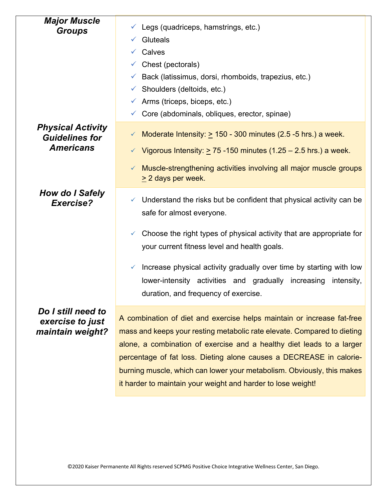| <b>Major Muscle</b><br><b>Groups</b>                                  | $\checkmark$ Legs (quadriceps, hamstrings, etc.)<br><b>Gluteals</b><br>Calves<br>$\checkmark$ Chest (pectorals)<br>Back (latissimus, dorsi, rhomboids, trapezius, etc.)<br>✓<br>$\checkmark$ Shoulders (deltoids, etc.)<br>$\checkmark$ Arms (triceps, biceps, etc.)<br>Core (abdominals, obliques, erector, spinae)<br>$\checkmark$                                                                                                        |
|-----------------------------------------------------------------------|---------------------------------------------------------------------------------------------------------------------------------------------------------------------------------------------------------------------------------------------------------------------------------------------------------------------------------------------------------------------------------------------------------------------------------------------|
| <b>Physical Activity</b><br><b>Guidelines for</b><br><b>Americans</b> | Moderate Intensity: $\geq$ 150 - 300 minutes (2.5 -5 hrs.) a week.<br>✓<br>Vigorous Intensity: $\geq$ 75 -150 minutes (1.25 – 2.5 hrs.) a week.<br>Muscle-strengthening activities involving all major muscle groups<br>$\geq$ 2 days per week.                                                                                                                                                                                             |
| How do I Safely<br>Exercise?                                          | Understand the risks but be confident that physical activity can be<br>✓<br>safe for almost everyone.<br>Choose the right types of physical activity that are appropriate for<br>✓<br>your current fitness level and health goals.<br>Increase physical activity gradually over time by starting with low<br>$\checkmark$<br>lower-intensity activities and gradually increasing<br>intensity,<br>duration, and frequency of exercise       |
| Do I still need to<br>exercise to just<br>maintain weight?            | A combination of diet and exercise helps maintain or increase fat-free<br>mass and keeps your resting metabolic rate elevate. Compared to dieting<br>alone, a combination of exercise and a healthy diet leads to a larger<br>percentage of fat loss. Dieting alone causes a DECREASE in calorie-<br>burning muscle, which can lower your metabolism. Obviously, this makes<br>it harder to maintain your weight and harder to lose weight! |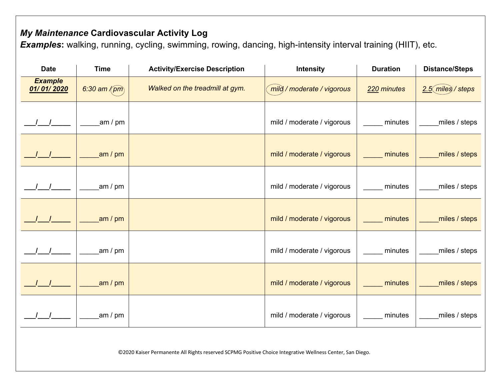### *My Maintenance* **Cardiovascular Activity Log**

**Examples:** walking, running, cycling, swimming, rowing, dancing, high-intensity interval training (HIIT), etc.

| <b>Date</b>                                                                                               | <b>Time</b>   | <b>Activity/Exercise Description</b> | <b>Intensity</b>           | <b>Duration</b> | <b>Distance/Steps</b> |  |
|-----------------------------------------------------------------------------------------------------------|---------------|--------------------------------------|----------------------------|-----------------|-----------------------|--|
| <b>Example</b><br>01/01/2020                                                                              | 6:30 am $(m)$ | Walked on the treadmill at gym.      | mild/moderate/vigorous     | 220 minutes     | $2.5$ (miles) / steps |  |
|                                                                                                           | am $/$ pm     |                                      | mild / moderate / vigorous | minutes         | miles / steps         |  |
| $\frac{1}{\sqrt{2}}$                                                                                      | am / $pm$     |                                      | mild / moderate / vigorous | minutes         | miles / steps         |  |
|                                                                                                           | am / $pm$     |                                      | mild / moderate / vigorous | minutes         | miles / steps         |  |
|                                                                                                           | am / $pm$     |                                      | mild / moderate / vigorous | minutes         | miles / steps         |  |
|                                                                                                           | am $/$ pm     |                                      | mild / moderate / vigorous | minutes         | miles / steps         |  |
|                                                                                                           | am / $pm$     |                                      | mild / moderate / vigorous | minutes         | miles / steps         |  |
|                                                                                                           | am / pm       |                                      | mild / moderate / vigorous | minutes         | miles / steps         |  |
| ©2020 Kaiser Permanente All Rights reserved SCPMG Positive Choice Integrative Wellness Center, San Diego. |               |                                      |                            |                 |                       |  |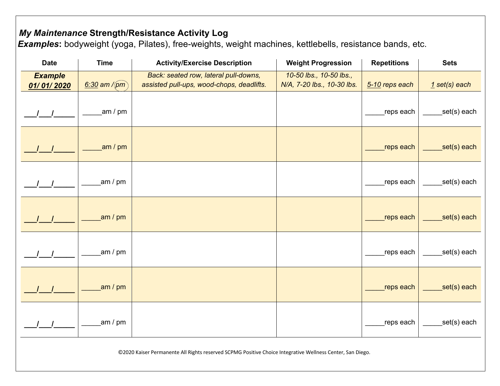### *My Maintenance* **Strength/Resistance Activity Log**

*Examples***:** bodyweight (yoga, Pilates), free-weights, weight machines, kettlebells, resistance bands, etc.

| <b>Date</b>                                                                                               | <b>Time</b>        | <b>Activity/Exercise Description</b>                                               | <b>Weight Progression</b>                             | <b>Repetitions</b> | <b>Sets</b>     |  |
|-----------------------------------------------------------------------------------------------------------|--------------------|------------------------------------------------------------------------------------|-------------------------------------------------------|--------------------|-----------------|--|
| <b>Example</b><br>01/01/2020                                                                              | $6:30$ am / $(pm)$ | Back: seated row, lateral pull-downs,<br>assisted pull-ups, wood-chops, deadlifts. | 10-50 lbs., 10-50 lbs.,<br>N/A, 7-20 lbs., 10-30 lbs. | 5-10 reps each     | $1$ set(s) each |  |
| $1 \quad 1$                                                                                               | am / pm            |                                                                                    |                                                       | reps each          | _set(s) each    |  |
|                                                                                                           | am / $pm$          |                                                                                    |                                                       | reps each          | set(s) each     |  |
|                                                                                                           | am / pm            |                                                                                    |                                                       | reps each          | set(s) each     |  |
| $1 \quad 1$                                                                                               | am / pm            |                                                                                    |                                                       | reps each          | set(s) each     |  |
|                                                                                                           | am / pm            |                                                                                    |                                                       | reps each          | set(s) each     |  |
| $\sqrt{1}$                                                                                                | am / $pm$          |                                                                                    |                                                       | reps each          | set(s) each     |  |
| $1 \quad 1$                                                                                               | am / pm            |                                                                                    |                                                       | reps each          | set(s) each     |  |
| ©2020 Kaiser Permanente All Rights reserved SCPMG Positive Choice Integrative Wellness Center, San Diego. |                    |                                                                                    |                                                       |                    |                 |  |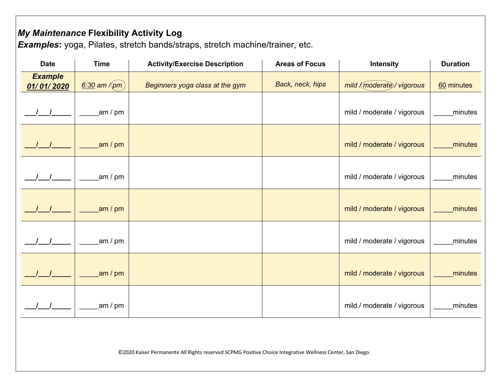### *My Maintenance* **Flexibility Activity Log**

*Examples***:** yoga, Pilates, stretch bands/straps, stretch machine/trainer, etc.

| <b>Date</b>                  | <b>Time</b>     | <b>Activity/Exercise Description</b> | <b>Areas of Focus</b> | <b>Intensity</b>                 | <b>Duration</b> |
|------------------------------|-----------------|--------------------------------------|-----------------------|----------------------------------|-----------------|
| <b>Example</b><br>01/01/2020 | $6:30$ am /(pm) | Beginners yoga class at the gym      | Back, neck, hips      | mild <i>Kmoderate</i> / vigorous | 60 minutes      |
|                              | am / pm         |                                      |                       | mild / moderate / vigorous       | minutes         |
|                              | am / $pm$       |                                      |                       | mild / moderate / vigorous       | minutes         |
|                              | am / pm         |                                      |                       | mild / moderate / vigorous       | minutes         |
|                              | am / $pm$       |                                      |                       | mild / moderate / vigorous       | minutes         |
|                              | am / pm         |                                      |                       | mild / moderate / vigorous       | minutes         |
|                              | am / pm         |                                      |                       | mild / moderate / vigorous       | minutes         |
|                              | am / pm         |                                      |                       | mild / moderate / vigorous       | minutes         |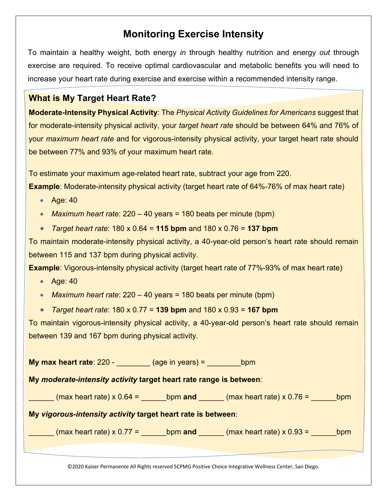### **Monitoring Exercise Intensity**

To maintain a healthy weight, both energy *in* through healthy nutrition and energy *out* through exercise are required. To receive optimal cardiovascular and metabolic benefits you will need to increase your heart rate during exercise and exercise within a recommended intensity range.

#### **What is My Target Heart Rate?**

**Moderate-Intensity Physical Activity**: The *Physical Activity Guidelines for Americans* suggest that for moderate-intensity physical activity, your *target heart rate* should be between 64% and 76% of your *maximum heart rate* and for vigorous-intensity physical activity, your target heart rate should be between 77% and 93% of your maximum heart rate.

To estimate your maximum age-related heart rate, subtract your age from 220.

**Example**: Moderate-intensity physical activity (target heart rate of 64%-76% of max heart rate)

- Age: 40
- *Maximum heart rate*: 220 40 years = 180 beats per minute (bpm)
- *Target heart rate*: 180 x 0.64 = **115 bpm** and 180 x 0.76 = **137 bpm**

To maintain moderate-intensity physical activity, a 40-year-old person's heart rate should remain between 115 and 137 bpm during physical activity.

**Example**: Vigorous-intensity physical activity (target heart rate of 77%-93% of max heart rate)

- Age: 40
- *Maximum heart rate*: 220 40 years = 180 beats per minute (bpm)

• *Target heart rate*: 180 x 0.77 = **139 bpm** and 180 x 0.93 = **167 bpm**

To maintain vigorous-intensity physical activity, a 40-year-old person's heart rate should remain between 139 and 167 bpm during physical activity.

**My max heart rate**: 220 - \_\_\_\_\_\_\_\_ (age in years) = \_\_\_\_\_\_\_\_\_\_bpm

**My** *moderate-intensity activity* **target heart rate range is between**:

 $_{\text{max}}$  heart rate) x 0.64 =  $_{\text{bpm}}$  and  $_{\text{max}}$  heart rate) x 0.76 =  $_{\text{bpm}}$ 

**My** *vigorous-intensity activity* **target heart rate is between**:

|  | (max heart rate) $\times$ 0.77 = | bpm and |  | (max heart rate) $\times$ 0.93 = | bpm |
|--|----------------------------------|---------|--|----------------------------------|-----|
|--|----------------------------------|---------|--|----------------------------------|-----|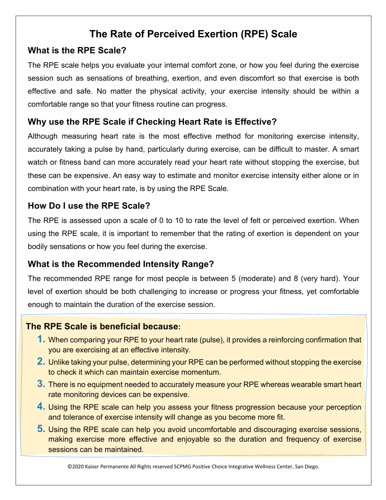### **The Rate of Perceived Exertion (RPE) Scale**

#### **What is the RPE Scale?**

The RPE scale helps you evaluate your internal comfort zone, or how you feel during the exercise session such as sensations of breathing, exertion, and even discomfort so that exercise is both effective and safe. No matter the physical activity, your exercise intensity should be within a comfortable range so that your fitness routine can progress.

### **Why use the RPE Scale if Checking Heart Rate is Effective?**

Although measuring heart rate is the most effective method for monitoring exercise intensity, accurately taking a pulse by hand, particularly during exercise, can be difficult to master. A smart watch or fitness band can more accurately read your heart rate without stopping the exercise, but these can be expensive. An easy way to estimate and monitor exercise intensity either alone or in combination with your heart rate, is by using the RPE Scale.

### **How Do I use the RPE Scale?**

The RPE is assessed upon a scale of 0 to 10 to rate the level of felt or perceived exertion. When using the RPE scale, it is important to remember that the rating of exertion is dependent on your bodily sensations or how you feel during the exercise.

#### **What is the Recommended Intensity Range?**

The recommended RPE range for most people is between 5 (moderate) and 8 (very hard). Your level of exertion should be both challenging to increase or progress your fitness, yet comfortable enough to maintain the duration of the exercise session.

#### **The RPE Scale is beneficial because:**

- **1.** When comparing your RPE to your heart rate (pulse), it provides a reinforcing confirmation that you are exercising at an effective intensity.
- **2.** Unlike taking your pulse, determining your RPE can be performed without stopping the exercise to check it which can maintain exercise momentum.
- **3.** There is no equipment needed to accurately measure your RPE whereas wearable smart heart rate monitoring devices can be expensive.
- **4.** Using the RPE scale can help you assess your fitness progression because your perception and tolerance of exercise intensity will change as you become more fit.
- **5.** Using the RPE scale can help you avoid uncomfortable and discouraging exercise sessions, making exercise more effective and enjoyable so the duration and frequency of exercise sessions can be maintained.